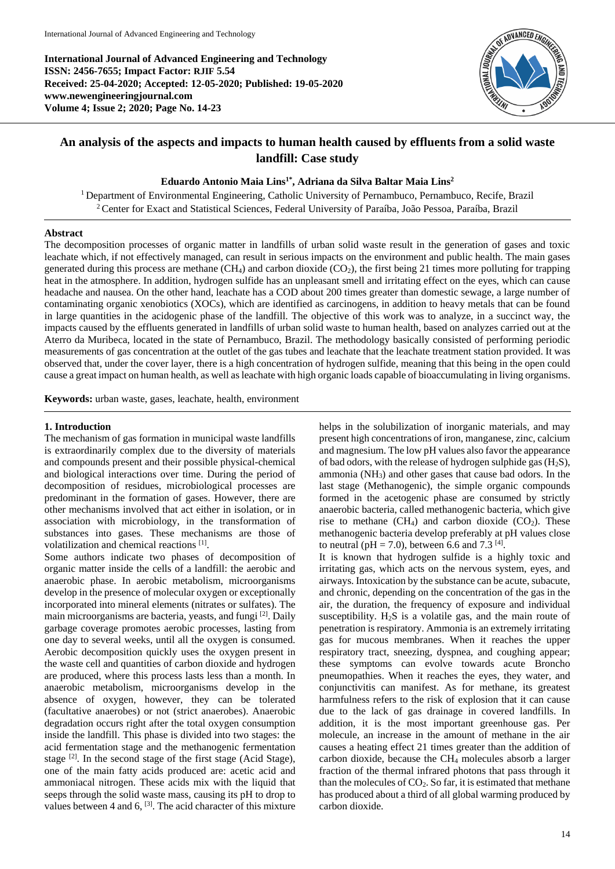**International Journal of Advanced Engineering and Technology ISSN: 2456-7655; Impact Factor: RJIF 5.54 Received: 25-04-2020; Accepted: 12-05-2020; Published: 19-05-2020 www.newengineeringjournal.com Volume 4; Issue 2; 2020; Page No. 14-23**



# **An analysis of the aspects and impacts to human health caused by effluents from a solid waste landfill: Case study**

# **Eduardo Antonio Maia Lins1\*, Adriana da Silva Baltar Maia Lins<sup>2</sup>**

<sup>1</sup> Department of Environmental Engineering, Catholic University of Pernambuco, Pernambuco, Recife, Brazil <sup>2</sup>Center for Exact and Statistical Sciences, Federal University of Paraíba, João Pessoa, Paraíba, Brazil

#### **Abstract**

The decomposition processes of organic matter in landfills of urban solid waste result in the generation of gases and toxic leachate which, if not effectively managed, can result in serious impacts on the environment and public health. The main gases generated during this process are methane  $(CH_4)$  and carbon dioxide  $(CO_2)$ , the first being 21 times more polluting for trapping heat in the atmosphere. In addition, hydrogen sulfide has an unpleasant smell and irritating effect on the eyes, which can cause headache and nausea. On the other hand, leachate has a COD about 200 times greater than domestic sewage, a large number of contaminating organic xenobiotics (XOCs), which are identified as carcinogens, in addition to heavy metals that can be found in large quantities in the acidogenic phase of the landfill. The objective of this work was to analyze, in a succinct way, the impacts caused by the effluents generated in landfills of urban solid waste to human health, based on analyzes carried out at the Aterro da Muribeca, located in the state of Pernambuco, Brazil. The methodology basically consisted of performing periodic measurements of gas concentration at the outlet of the gas tubes and leachate that the leachate treatment station provided. It was observed that, under the cover layer, there is a high concentration of hydrogen sulfide, meaning that this being in the open could cause a great impact on human health, as well as leachate with high organic loads capable of bioaccumulating in living organisms.

**Keywords:** urban waste, gases, leachate, health, environment

## **1. Introduction**

The mechanism of gas formation in municipal waste landfills is extraordinarily complex due to the diversity of materials and compounds present and their possible physical-chemical and biological interactions over time. During the period of decomposition of residues, microbiological processes are predominant in the formation of gases. However, there are other mechanisms involved that act either in isolation, or in association with microbiology, in the transformation of substances into gases. These mechanisms are those of volatilization and chemical reactions [1].

Some authors indicate two phases of decomposition of organic matter inside the cells of a landfill: the aerobic and anaerobic phase. In aerobic metabolism, microorganisms develop in the presence of molecular oxygen or exceptionally incorporated into mineral elements (nitrates or sulfates). The main microorganisms are bacteria, yeasts, and fungi <a>[2]</a>. Daily garbage coverage promotes aerobic processes, lasting from one day to several weeks, until all the oxygen is consumed. Aerobic decomposition quickly uses the oxygen present in the waste cell and quantities of carbon dioxide and hydrogen are produced, where this process lasts less than a month. In anaerobic metabolism, microorganisms develop in the absence of oxygen, however, they can be tolerated (facultative anaerobes) or not (strict anaerobes). Anaerobic degradation occurs right after the total oxygen consumption inside the landfill. This phase is divided into two stages: the acid fermentation stage and the methanogenic fermentation stage <sup>[2]</sup>. In the second stage of the first stage (Acid Stage), one of the main fatty acids produced are: acetic acid and ammoniacal nitrogen. These acids mix with the liquid that seeps through the solid waste mass, causing its pH to drop to values between 4 and 6,  $[3]$ . The acid character of this mixture helps in the solubilization of inorganic materials, and may present high concentrations of iron, manganese, zinc, calcium and magnesium. The low pH values also favor the appearance of bad odors, with the release of hydrogen sulphide gas  $(H_2S)$ , ammonia (NH3) and other gases that cause bad odors. In the last stage (Methanogenic), the simple organic compounds formed in the acetogenic phase are consumed by strictly anaerobic bacteria, called methanogenic bacteria, which give rise to methane  $(CH_4)$  and carbon dioxide  $(CO_2)$ . These methanogenic bacteria develop preferably at pH values close to neutral ( $pH = 7.0$ ), between 6.6 and 7.3 <sup>[4]</sup>.

It is known that hydrogen sulfide is a highly toxic and irritating gas, which acts on the nervous system, eyes, and airways. Intoxication by the substance can be acute, subacute, and chronic, depending on the concentration of the gas in the air, the duration, the frequency of exposure and individual susceptibility.  $H_2S$  is a volatile gas, and the main route of penetration is respiratory. Ammonia is an extremely irritating gas for mucous membranes. When it reaches the upper respiratory tract, sneezing, dyspnea, and coughing appear; these symptoms can evolve towards acute Broncho pneumopathies. When it reaches the eyes, they water, and conjunctivitis can manifest. As for methane, its greatest harmfulness refers to the risk of explosion that it can cause due to the lack of gas drainage in covered landfills. In addition, it is the most important greenhouse gas. Per molecule, an increase in the amount of methane in the air causes a heating effect 21 times greater than the addition of carbon dioxide, because the CH<sup>4</sup> molecules absorb a larger fraction of the thermal infrared photons that pass through it than the molecules of  $CO<sub>2</sub>$ . So far, it is estimated that methane has produced about a third of all global warming produced by carbon dioxide.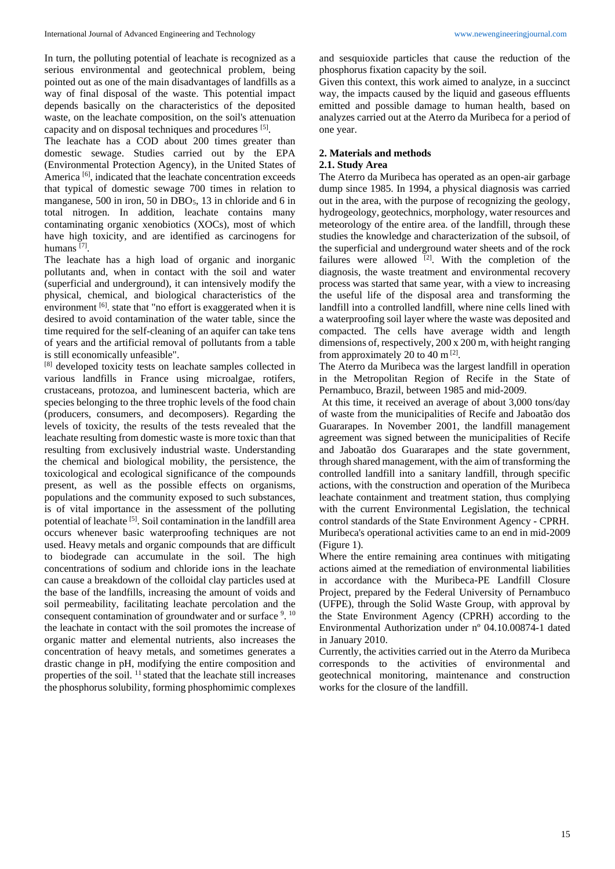In turn, the polluting potential of leachate is recognized as a serious environmental and geotechnical problem, being pointed out as one of the main disadvantages of landfills as a way of final disposal of the waste. This potential impact depends basically on the characteristics of the deposited waste, on the leachate composition, on the soil's attenuation capacity and on disposal techniques and procedures [5].

The leachate has a COD about 200 times greater than domestic sewage. Studies carried out by the EPA (Environmental Protection Agency), in the United States of America<sup>[6]</sup>, indicated that the leachate concentration exceeds that typical of domestic sewage 700 times in relation to manganese, 500 in iron, 50 in DBO<sub>5</sub>, 13 in chloride and 6 in total nitrogen. In addition, leachate contains many contaminating organic xenobiotics (XOCs), most of which have high toxicity, and are identified as carcinogens for humans<sup>[7]</sup>.

The leachate has a high load of organic and inorganic pollutants and, when in contact with the soil and water (superficial and underground), it can intensively modify the physical, chemical, and biological characteristics of the environment [6]. state that "no effort is exaggerated when it is desired to avoid contamination of the water table, since the time required for the self-cleaning of an aquifer can take tens of years and the artificial removal of pollutants from a table is still economically unfeasible".

[8] developed toxicity tests on leachate samples collected in various landfills in France using microalgae, rotifers, crustaceans, protozoa, and luminescent bacteria, which are species belonging to the three trophic levels of the food chain (producers, consumers, and decomposers). Regarding the levels of toxicity, the results of the tests revealed that the leachate resulting from domestic waste is more toxic than that resulting from exclusively industrial waste. Understanding the chemical and biological mobility, the persistence, the toxicological and ecological significance of the compounds present, as well as the possible effects on organisms, populations and the community exposed to such substances, is of vital importance in the assessment of the polluting potential of leachate<sup>[5]</sup>. Soil contamination in the landfill area occurs whenever basic waterproofing techniques are not used. Heavy metals and organic compounds that are difficult to biodegrade can accumulate in the soil. The high concentrations of sodium and chloride ions in the leachate can cause a breakdown of the colloidal clay particles used at the base of the landfills, increasing the amount of voids and soil permeability, facilitating leachate percolation and the consequent contamination of groundwater and or surface  $9.10$ the leachate in contact with the soil promotes the increase of organic matter and elemental nutrients, also increases the concentration of heavy metals, and sometimes generates a drastic change in pH, modifying the entire composition and properties of the soil.  $^{11}$  stated that the leachate still increases the phosphorus solubility, forming phosphomimic complexes

and sesquioxide particles that cause the reduction of the phosphorus fixation capacity by the soil.

Given this context, this work aimed to analyze, in a succinct way, the impacts caused by the liquid and gaseous effluents emitted and possible damage to human health, based on analyzes carried out at the Aterro da Muribeca for a period of one year.

# **2. Materials and methods**

#### **2.1. Study Area**

The Aterro da Muribeca has operated as an open-air garbage dump since 1985. In 1994, a physical diagnosis was carried out in the area, with the purpose of recognizing the geology, hydrogeology, geotechnics, morphology, water resources and meteorology of the entire area. of the landfill, through these studies the knowledge and characterization of the subsoil, of the superficial and underground water sheets and of the rock failures were allowed  $[2]$ . With the completion of the diagnosis, the waste treatment and environmental recovery process was started that same year, with a view to increasing the useful life of the disposal area and transforming the landfill into a controlled landfill, where nine cells lined with a waterproofing soil layer where the waste was deposited and compacted. The cells have average width and length dimensions of, respectively, 200 x 200 m, with height ranging from approximately 20 to 40  $\text{m}$  [2].

The Aterro da Muribeca was the largest landfill in operation in the Metropolitan Region of Recife in the State of Pernambuco, Brazil, between 1985 and mid-2009.

At this time, it received an average of about 3,000 tons/day of waste from the municipalities of Recife and Jaboatão dos Guararapes. In November 2001, the landfill management agreement was signed between the municipalities of Recife and Jaboatão dos Guararapes and the state government, through shared management, with the aim of transforming the controlled landfill into a sanitary landfill, through specific actions, with the construction and operation of the Muribeca leachate containment and treatment station, thus complying with the current Environmental Legislation, the technical control standards of the State Environment Agency - CPRH. Muribeca's operational activities came to an end in mid-2009 (Figure 1).

Where the entire remaining area continues with mitigating actions aimed at the remediation of environmental liabilities in accordance with the Muribeca-PE Landfill Closure Project, prepared by the Federal University of Pernambuco (UFPE), through the Solid Waste Group, with approval by the State Environment Agency (CPRH) according to the Environmental Authorization under nº 04.10.00874-1 dated in January 2010.

Currently, the activities carried out in the Aterro da Muribeca corresponds to the activities of environmental and geotechnical monitoring, maintenance and construction works for the closure of the landfill.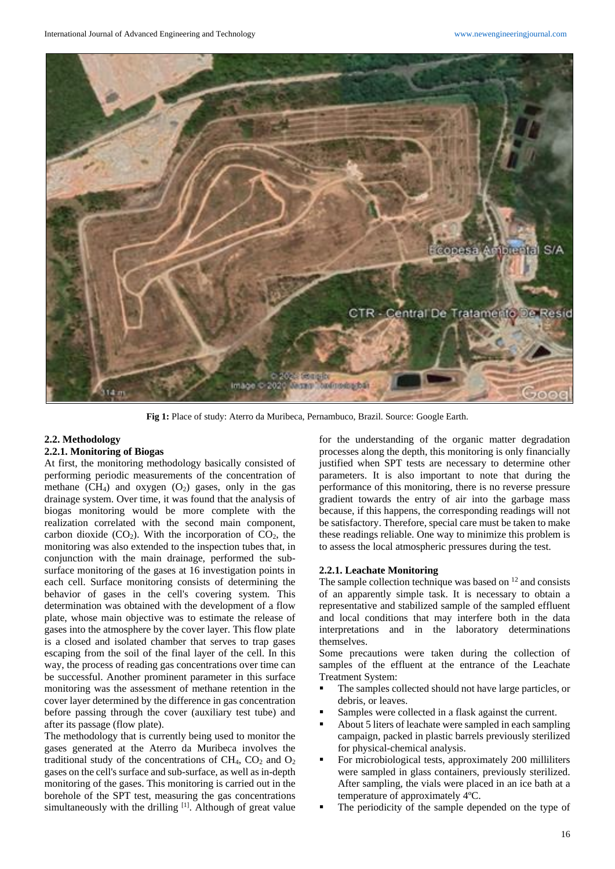

**Fig 1:** Place of study: Aterro da Muribeca, Pernambuco, Brazil. Source: Google Earth.

## **2.2. Methodology**

#### **2.2.1. Monitoring of Biogas**

At first, the monitoring methodology basically consisted of performing periodic measurements of the concentration of methane  $(CH_4)$  and oxygen  $(O_2)$  gases, only in the gas drainage system. Over time, it was found that the analysis of biogas monitoring would be more complete with the realization correlated with the second main component, carbon dioxide  $(CO_2)$ . With the incorporation of  $CO_2$ , the monitoring was also extended to the inspection tubes that, in conjunction with the main drainage, performed the subsurface monitoring of the gases at 16 investigation points in each cell. Surface monitoring consists of determining the behavior of gases in the cell's covering system. This determination was obtained with the development of a flow plate, whose main objective was to estimate the release of gases into the atmosphere by the cover layer. This flow plate is a closed and isolated chamber that serves to trap gases escaping from the soil of the final layer of the cell. In this way, the process of reading gas concentrations over time can be successful. Another prominent parameter in this surface monitoring was the assessment of methane retention in the cover layer determined by the difference in gas concentration before passing through the cover (auxiliary test tube) and after its passage (flow plate).

The methodology that is currently being used to monitor the gases generated at the Aterro da Muribeca involves the traditional study of the concentrations of  $CH_4$ ,  $CO_2$  and  $O_2$ gases on the cell's surface and sub-surface, as well as in-depth monitoring of the gases. This monitoring is carried out in the borehole of the SPT test, measuring the gas concentrations simultaneously with the drilling  $[1]$ . Although of great value for the understanding of the organic matter degradation processes along the depth, this monitoring is only financially justified when SPT tests are necessary to determine other parameters. It is also important to note that during the performance of this monitoring, there is no reverse pressure gradient towards the entry of air into the garbage mass because, if this happens, the corresponding readings will not be satisfactory. Therefore, special care must be taken to make these readings reliable. One way to minimize this problem is to assess the local atmospheric pressures during the test.

#### **2.2.1. Leachate Monitoring**

The sample collection technique was based on  $12$  and consists of an apparently simple task. It is necessary to obtain a representative and stabilized sample of the sampled effluent and local conditions that may interfere both in the data interpretations and in the laboratory determinations themselves.

Some precautions were taken during the collection of samples of the effluent at the entrance of the Leachate Treatment System:

- The samples collected should not have large particles, or debris, or leaves.
- Samples were collected in a flask against the current.
- About 5 liters of leachate were sampled in each sampling campaign, packed in plastic barrels previously sterilized for physical-chemical analysis.
- For microbiological tests, approximately 200 milliliters were sampled in glass containers, previously sterilized. After sampling, the vials were placed in an ice bath at a temperature of approximately 4ºC.
- The periodicity of the sample depended on the type of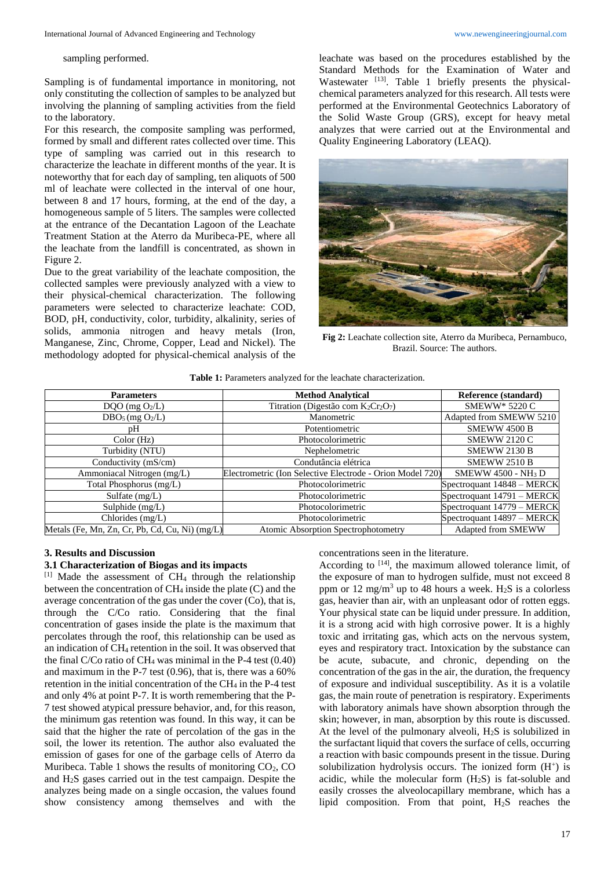sampling performed.

Sampling is of fundamental importance in monitoring, not only constituting the collection of samples to be analyzed but involving the planning of sampling activities from the field to the laboratory.

For this research, the composite sampling was performed, formed by small and different rates collected over time. This type of sampling was carried out in this research to characterize the leachate in different months of the year. It is noteworthy that for each day of sampling, ten aliquots of 500 ml of leachate were collected in the interval of one hour, between 8 and 17 hours, forming, at the end of the day, a homogeneous sample of 5 liters. The samples were collected at the entrance of the Decantation Lagoon of the Leachate Treatment Station at the Aterro da Muribeca-PE, where all the leachate from the landfill is concentrated, as shown in Figure 2.

Due to the great variability of the leachate composition, the collected samples were previously analyzed with a view to their physical-chemical characterization. The following parameters were selected to characterize leachate: COD, BOD, pH, conductivity, color, turbidity, alkalinity, series of solids, ammonia nitrogen and heavy metals (Iron, Manganese, Zinc, Chrome, Copper, Lead and Nickel). The methodology adopted for physical-chemical analysis of the

leachate was based on the procedures established by the Standard Methods for the Examination of Water and Wastewater [13]. Table 1 briefly presents the physicalchemical parameters analyzed for this research. All tests were performed at the Environmental Geotechnics Laboratory of the Solid Waste Group (GRS), except for heavy metal analyzes that were carried out at the Environmental and Quality Engineering Laboratory (LEAQ).



**Fig 2:** Leachate collection site, Aterro da Muribeca, Pernambuco, Brazil. Source: The authors.

| <b>Parameters</b>                              | <b>Method Analytical</b>                                  | Reference (standard)                |  |  |
|------------------------------------------------|-----------------------------------------------------------|-------------------------------------|--|--|
| $DQO$ (mg $O2/L$ )                             | Titration (Digestão com $K_2Cr_2O_7$ )                    | SMEWW* 5220 C                       |  |  |
| $DBO5$ (mg $O2/L$ )                            | Manometric                                                | Adapted from SMEWW 5210             |  |  |
| рH                                             | Potentiometric                                            | SMEWW 4500 B                        |  |  |
| Color(Hz)                                      | Photocolorimetric                                         | <b>SMEWW 2120 C</b>                 |  |  |
| Turbidity (NTU)                                | Nephelometric                                             | <b>SMEWW 2130 B</b>                 |  |  |
| Conductivity $(mS/cm)$                         | Condutância elétrica                                      | <b>SMEWW 2510 B</b>                 |  |  |
| Ammoniacal Nitrogen (mg/L)                     | Electrometric (Ion Selective Electrode - Orion Model 720) | <b>SMEWW 4500 - NH<sub>3</sub>D</b> |  |  |
| Total Phosphorus (mg/L)                        | Photocolorimetric                                         | Spectroquant 14848 - MERCK          |  |  |
| Sulfate $(mg/L)$                               | Photocolorimetric                                         | Spectroquant 14791 - MERCK          |  |  |
| Sulphide $(mg/L)$                              | Photocolorimetric                                         | Spectroquant 14779 - MERCK          |  |  |
| Chlorides $(mg/L)$                             | Photocolorimetric                                         | Spectroquant 14897 - MERCK          |  |  |
| Metals (Fe, Mn, Zn, Cr, Pb, Cd, Cu, Ni) (mg/L) | <b>Atomic Absorption Spectrophotometry</b>                | Adapted from SMEWW                  |  |  |

#### **3. Results and Discussion**

#### **3.1 Characterization of Biogas and its impacts**

 $[1]$  Made the assessment of CH<sub>4</sub> through the relationship between the concentration of CH<sup>4</sup> inside the plate (C) and the average concentration of the gas under the cover (Co), that is, through the C/Co ratio. Considering that the final concentration of gases inside the plate is the maximum that percolates through the roof, this relationship can be used as an indication of CH<sup>4</sup> retention in the soil. It was observed that the final C/Co ratio of CH<sub>4</sub> was minimal in the P-4 test  $(0.40)$ and maximum in the P-7 test (0.96), that is, there was a 60% retention in the initial concentration of the  $CH<sub>4</sub>$  in the P-4 test and only 4% at point P-7. It is worth remembering that the P-7 test showed atypical pressure behavior, and, for this reason, the minimum gas retention was found. In this way, it can be said that the higher the rate of percolation of the gas in the soil, the lower its retention. The author also evaluated the emission of gases for one of the garbage cells of Aterro da Muribeca. Table 1 shows the results of monitoring  $CO<sub>2</sub>$ ,  $CO$ and H2S gases carried out in the test campaign. Despite the analyzes being made on a single occasion, the values found show consistency among themselves and with the

concentrations seen in the literature.

According to <sup>[14]</sup>, the maximum allowed tolerance limit, of the exposure of man to hydrogen sulfide, must not exceed 8 ppm or 12 mg/m<sup>3</sup> up to 48 hours a week. H<sub>2</sub>S is a colorless gas, heavier than air, with an unpleasant odor of rotten eggs. Your physical state can be liquid under pressure. In addition, it is a strong acid with high corrosive power. It is a highly toxic and irritating gas, which acts on the nervous system, eyes and respiratory tract. Intoxication by the substance can be acute, subacute, and chronic, depending on the concentration of the gas in the air, the duration, the frequency of exposure and individual susceptibility. As it is a volatile gas, the main route of penetration is respiratory. Experiments with laboratory animals have shown absorption through the skin; however, in man, absorption by this route is discussed. At the level of the pulmonary alveoli,  $H_2S$  is solubilized in the surfactant liquid that covers the surface of cells, occurring a reaction with basic compounds present in the tissue. During solubilization hydrolysis occurs. The ionized form  $(H<sup>+</sup>)$  is acidic, while the molecular form  $(H_2S)$  is fat-soluble and easily crosses the alveolocapillary membrane, which has a lipid composition. From that point,  $H_2S$  reaches the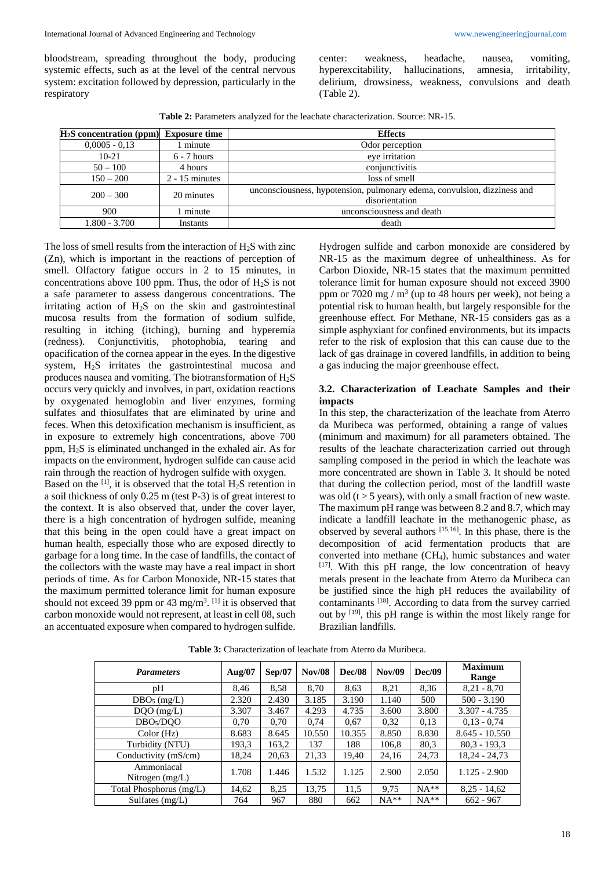bloodstream, spreading throughout the body, producing systemic effects, such as at the level of the central nervous system: excitation followed by depression, particularly in the respiratory

center: weakness, headache, nausea, vomiting, hyperexcitability, hallucinations, amnesia, irritability, delirium, drowsiness, weakness, convulsions and death (Table 2).

**Table 2:** Parameters analyzed for the leachate characterization. Source: NR-15.

| $H2S$ concentration (ppm) Exposure time |                  | <b>Effects</b>                                                           |  |  |  |
|-----------------------------------------|------------------|--------------------------------------------------------------------------|--|--|--|
| $0,0005 - 0.13$                         | minute           | Odor perception                                                          |  |  |  |
| $10 - 21$                               | $6 - 7$ hours    | eve irritation                                                           |  |  |  |
| $50 - 100$                              | 4 hours          | conjunctivitis                                                           |  |  |  |
| $150 - 200$                             | $2 - 15$ minutes | loss of smell                                                            |  |  |  |
| $200 - 300$                             | 20 minutes       | unconsciousness, hypotension, pulmonary edema, convulsion, dizziness and |  |  |  |
|                                         |                  | disorientation                                                           |  |  |  |
| 900                                     | minute           | unconsciousness and death                                                |  |  |  |
| $1.800 - 3.700$                         | Instants         | death                                                                    |  |  |  |

The loss of smell results from the interaction of  $H<sub>2</sub>S$  with zinc (Zn), which is important in the reactions of perception of smell. Olfactory fatigue occurs in 2 to 15 minutes, in concentrations above 100 ppm. Thus, the odor of  $H_2S$  is not a safe parameter to assess dangerous concentrations. The irritating action of H2S on the skin and gastrointestinal mucosa results from the formation of sodium sulfide, resulting in itching (itching), burning and hyperemia (redness). Conjunctivitis, photophobia, tearing and opacification of the cornea appear in the eyes. In the digestive system, H2S irritates the gastrointestinal mucosa and produces nausea and vomiting. The biotransformation of  $H_2S$ occurs very quickly and involves, in part, oxidation reactions by oxygenated hemoglobin and liver enzymes, forming sulfates and thiosulfates that are eliminated by urine and feces. When this detoxification mechanism is insufficient, as in exposure to extremely high concentrations, above 700 ppm, H2S is eliminated unchanged in the exhaled air. As for impacts on the environment, hydrogen sulfide can cause acid rain through the reaction of hydrogen sulfide with oxygen.

Based on the  $^{[1]}$ , it is observed that the total  $H_2S$  retention in a soil thickness of only 0.25 m (test P-3) is of great interest to the context. It is also observed that, under the cover layer, there is a high concentration of hydrogen sulfide, meaning that this being in the open could have a great impact on human health, especially those who are exposed directly to garbage for a long time. In the case of landfills, the contact of the collectors with the waste may have a real impact in short periods of time. As for Carbon Monoxide, NR-15 states that the maximum permitted tolerance limit for human exposure should not exceed 39 ppm or 43 mg/m<sup>3</sup>. <sup>[1]</sup> it is observed that carbon monoxide would not represent, at least in cell 08, such an accentuated exposure when compared to hydrogen sulfide.

Hydrogen sulfide and carbon monoxide are considered by NR-15 as the maximum degree of unhealthiness. As for Carbon Dioxide, NR-15 states that the maximum permitted tolerance limit for human exposure should not exceed 3900 ppm or 7020 mg /  $m<sup>3</sup>$  (up to 48 hours per week), not being a potential risk to human health, but largely responsible for the greenhouse effect. For Methane, NR-15 considers gas as a simple asphyxiant for confined environments, but its impacts refer to the risk of explosion that this can cause due to the lack of gas drainage in covered landfills, in addition to being a gas inducing the major greenhouse effect.

# **3.2. Characterization of Leachate Samples and their impacts**

In this step, the characterization of the leachate from Aterro da Muribeca was performed, obtaining a range of values (minimum and maximum) for all parameters obtained. The results of the leachate characterization carried out through sampling composed in the period in which the leachate was more concentrated are shown in Table 3. It should be noted that during the collection period, most of the landfill waste was old ( $t > 5$  years), with only a small fraction of new waste. The maximum pH range was between 8.2 and 8.7, which may indicate a landfill leachate in the methanogenic phase, as observed by several authors [15,16] . In this phase, there is the decomposition of acid fermentation products that are converted into methane (CH4), humic substances and water [17]. With this pH range, the low concentration of heavy metals present in the leachate from Aterro da Muribeca can be justified since the high pH reduces the availability of contaminants <a>[18]</a>. According to data from the survey carried out by  $[19]$ , this pH range is within the most likely range for Brazilian landfills.

| <b>Parameters</b>               | Aug/ $07$ | Sep/07 | <b>Nov/08</b> | <b>Dec/08</b> | <b>Nov/09</b> | Dec/09 | <b>Maximum</b><br><b>Range</b> |
|---------------------------------|-----------|--------|---------------|---------------|---------------|--------|--------------------------------|
| pН                              | 8,46      | 8,58   | 8.70          | 8.63          | 8,21          | 8,36   | $8,21 - 8,70$                  |
| $DBO5$ (mg/L)                   | 2.320     | 2.430  | 3.185         | 3.190         | 1.140         | 500    | $500 - 3.190$                  |
| $DQO$ (mg/L)                    | 3.307     | 3.467  | 4.293         | 4.735         | 3.600         | 3.800  | $3.307 - 4.735$                |
| DBO <sub>5</sub> /DOO           | 0.70      | 0.70   | 0.74          | 0.67          | 0.32          | 0,13   | $0.13 - 0.74$                  |
| Color(Hz)                       | 8.683     | 8.645  | 10.550        | 10.355        | 8.850         | 8.830  | $8.645 - 10.550$               |
| Turbidity (NTU)                 | 193.3     | 163,2  | 137           | 188           | 106,8         | 80,3   | $80.3 - 193.3$                 |
| Conductivity (mS/cm)            | 18,24     | 20,63  | 21,33         | 19,40         | 24,16         | 24,73  | $18,24 - 24,73$                |
| Ammoniacal<br>Nitrogen $(mg/L)$ | 1.708     | 1.446  | 1.532         | 1.125         | 2.900         | 2.050  | $1.125 - 2.900$                |
| Total Phosphorus (mg/L)         | 14,62     | 8.25   | 13,75         | 11,5          | 9,75          | $NA**$ | $8,25 - 14,62$                 |
| Sulfates $(mg/L)$               | 764       | 967    | 880           | 662           | $NA**$        | $NA**$ | $662 - 967$                    |

**Table 3:** Characterization of leachate from Aterro da Muribeca.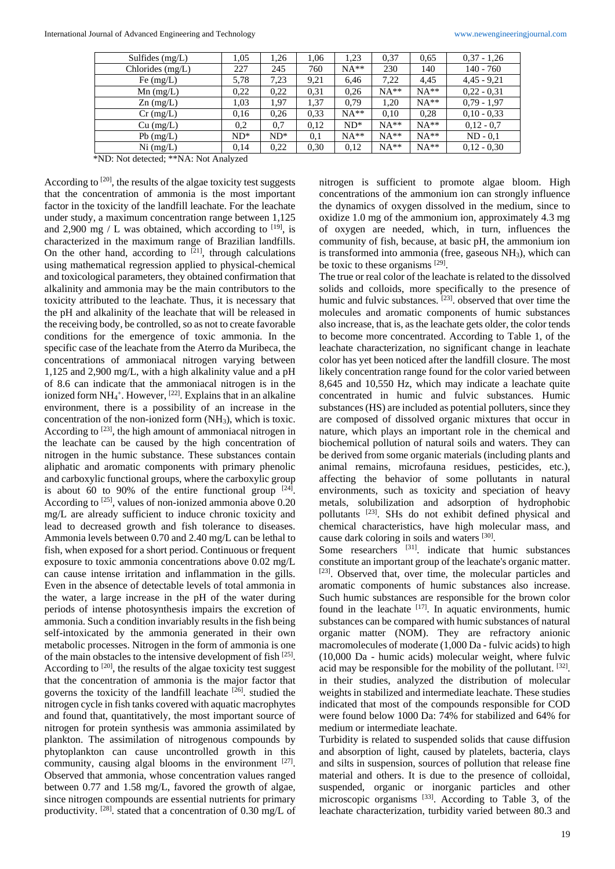| Sulfides $(mg/L)$ | 1,05   | 1,26   | 1,06 | 1,23   | 0.37   | 0.65   | $0.37 - 1.26$ |
|-------------------|--------|--------|------|--------|--------|--------|---------------|
| Chlorides (mg/L)  | 227    | 245    | 760  | $NA**$ | 230    | 140    | $140 - 760$   |
| Fe $(mg/L)$       | 5,78   | 7,23   | 9,21 | 6,46   | 7,22   | 4,45   | $4,45 - 9,21$ |
| $Mn$ (mg/L)       | 0,22   | 0,22   | 0.31 | 0,26   | $NA**$ | $NA**$ | $0,22 - 0,31$ |
| $Zn$ (mg/L)       | 1,03   | 1,97   | 1,37 | 0.79   | 1.20   | $NA**$ | $0.79 - 1.97$ |
| $Cr$ (mg/L)       | 0.16   | 0,26   | 0.33 | $NA**$ | 0.10   | 0,28   | $0.10 - 0.33$ |
| $Cu$ (mg/L)       | 0,2    | 0.7    | 0.12 | $ND^*$ | $NA**$ | $NA**$ | $0,12 - 0.7$  |
| $Pb$ (mg/L)       | $ND^*$ | $ND^*$ | 0,1  | $NA**$ | $NA**$ | $NA**$ | $ND - 0.1$    |
| Ni (mg/L)         | 0.14   | 0,22   | 0.30 | 0,12   | $NA**$ | $NA**$ | $0.12 - 0.30$ |

\*ND: Not detected; \*\*NA: Not Analyzed

According to  $[20]$ , the results of the algae toxicity test suggests that the concentration of ammonia is the most important factor in the toxicity of the landfill leachate. For the leachate under study, a maximum concentration range between 1,125 and 2,900 mg / L was obtained, which according to  $[19]$ , is characterized in the maximum range of Brazilian landfills. On the other hand, according to  $[21]$ , through calculations using mathematical regression applied to physical-chemical and toxicological parameters, they obtained confirmation that alkalinity and ammonia may be the main contributors to the toxicity attributed to the leachate. Thus, it is necessary that the pH and alkalinity of the leachate that will be released in the receiving body, be controlled, so as not to create favorable conditions for the emergence of toxic ammonia. In the specific case of the leachate from the Aterro da Muribeca, the concentrations of ammoniacal nitrogen varying between 1,125 and 2,900 mg/L, with a high alkalinity value and a pH of 8.6 can indicate that the ammoniacal nitrogen is in the ionized form  $NH_4^+$ . However, <sup>[22]</sup>. Explains that in an alkaline environment, there is a possibility of an increase in the concentration of the non-ionized form  $(NH_3)$ , which is toxic. According to  $[23]$ , the high amount of ammoniacal nitrogen in the leachate can be caused by the high concentration of nitrogen in the humic substance. These substances contain aliphatic and aromatic components with primary phenolic and carboxylic functional groups, where the carboxylic group is about 60 to 90% of the entire functional group  $[24]$ . According to <sup>[25]</sup>, values of non-ionized ammonia above 0.20 mg/L are already sufficient to induce chronic toxicity and lead to decreased growth and fish tolerance to diseases. Ammonia levels between 0.70 and 2.40 mg/L can be lethal to fish, when exposed for a short period. Continuous or frequent exposure to toxic ammonia concentrations above 0.02 mg/L can cause intense irritation and inflammation in the gills. Even in the absence of detectable levels of total ammonia in the water, a large increase in the pH of the water during periods of intense photosynthesis impairs the excretion of ammonia. Such a condition invariably results in the fish being self-intoxicated by the ammonia generated in their own metabolic processes. Nitrogen in the form of ammonia is one of the main obstacles to the intensive development of fish [25]. According to <sup>[20]</sup>, the results of the algae toxicity test suggest that the concentration of ammonia is the major factor that governs the toxicity of the landfill leachate [26]. studied the nitrogen cycle in fish tanks covered with aquatic macrophytes and found that, quantitatively, the most important source of nitrogen for protein synthesis was ammonia assimilated by plankton. The assimilation of nitrogenous compounds by phytoplankton can cause uncontrolled growth in this community, causing algal blooms in the environment  $[27]$ . Observed that ammonia, whose concentration values ranged between 0.77 and 1.58 mg/L, favored the growth of algae, since nitrogen compounds are essential nutrients for primary productivity. <sup>[28]</sup>. stated that a concentration of 0.30 mg/L of nitrogen is sufficient to promote algae bloom. High concentrations of the ammonium ion can strongly influence the dynamics of oxygen dissolved in the medium, since to oxidize 1.0 mg of the ammonium ion, approximately 4.3 mg of oxygen are needed, which, in turn, influences the community of fish, because, at basic pH, the ammonium ion is transformed into ammonia (free, gaseous NH<sub>3</sub>), which can be toxic to these organisms [29].

The true or real color of the leachate is related to the dissolved solids and colloids, more specifically to the presence of humic and fulvic substances. [23], observed that over time the molecules and aromatic components of humic substances also increase, that is, as the leachate gets older, the color tends to become more concentrated. According to Table 1, of the leachate characterization, no significant change in leachate color has yet been noticed after the landfill closure. The most likely concentration range found for the color varied between 8,645 and 10,550 Hz, which may indicate a leachate quite concentrated in humic and fulvic substances. Humic substances (HS) are included as potential polluters, since they are composed of dissolved organic mixtures that occur in nature, which plays an important role in the chemical and biochemical pollution of natural soils and waters. They can be derived from some organic materials (including plants and animal remains, microfauna residues, pesticides, etc.), affecting the behavior of some pollutants in natural environments, such as toxicity and speciation of heavy metals, solubilization and adsorption of hydrophobic pollutants <sup>[23]</sup>. SHs do not exhibit defined physical and chemical characteristics, have high molecular mass, and cause dark coloring in soils and waters [30] .

Some researchers <sup>[31]</sup>. indicate that humic substances constitute an important group of the leachate's organic matter. [23]. Observed that, over time, the molecular particles and aromatic components of humic substances also increase. Such humic substances are responsible for the brown color found in the leachate  $[17]$ . In aquatic environments, humic substances can be compared with humic substances of natural organic matter (NOM). They are refractory anionic macromolecules of moderate (1,000 Da - fulvic acids) to high (10,000 Da - humic acids) molecular weight, where fulvic acid may be responsible for the mobility of the pollutant. [32]. in their studies, analyzed the distribution of molecular weights in stabilized and intermediate leachate. These studies indicated that most of the compounds responsible for COD were found below 1000 Da: 74% for stabilized and 64% for medium or intermediate leachate.

Turbidity is related to suspended solids that cause diffusion and absorption of light, caused by platelets, bacteria, clays and silts in suspension, sources of pollution that release fine material and others. It is due to the presence of colloidal, suspended, organic or inorganic particles and other microscopic organisms [33]. According to Table 3, of the leachate characterization, turbidity varied between 80.3 and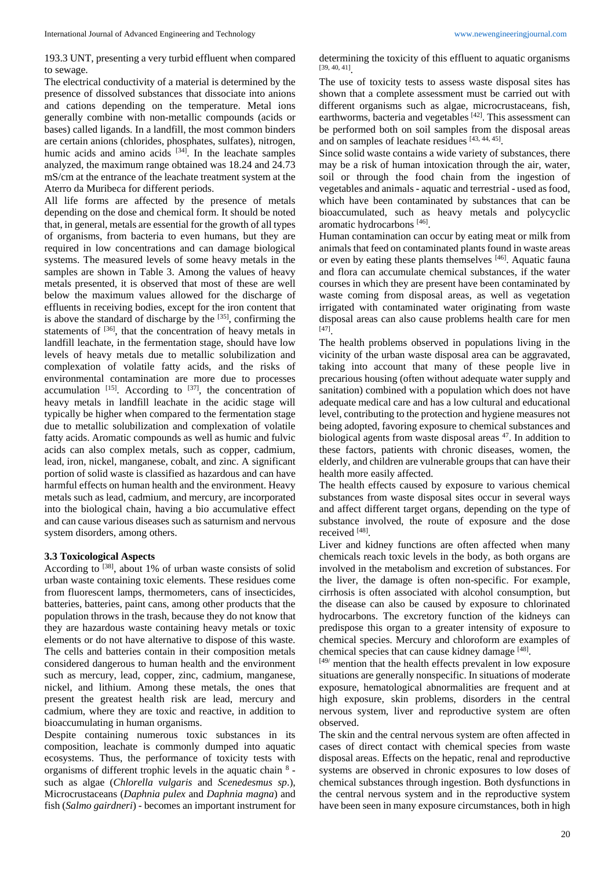193.3 UNT, presenting a very turbid effluent when compared to sewage.

The electrical conductivity of a material is determined by the presence of dissolved substances that dissociate into anions and cations depending on the temperature. Metal ions generally combine with non-metallic compounds (acids or bases) called ligands. In a landfill, the most common binders are certain anions (chlorides, phosphates, sulfates), nitrogen, humic acids and amino acids  $[34]$ . In the leachate samples analyzed, the maximum range obtained was 18.24 and 24.73 mS/cm at the entrance of the leachate treatment system at the Aterro da Muribeca for different periods.

All life forms are affected by the presence of metals depending on the dose and chemical form. It should be noted that, in general, metals are essential for the growth of all types of organisms, from bacteria to even humans, but they are required in low concentrations and can damage biological systems. The measured levels of some heavy metals in the samples are shown in Table 3. Among the values of heavy metals presented, it is observed that most of these are well below the maximum values allowed for the discharge of effluents in receiving bodies, except for the iron content that is above the standard of discharge by the  $[35]$ , confirming the statements of  $[36]$ , that the concentration of heavy metals in landfill leachate, in the fermentation stage, should have low levels of heavy metals due to metallic solubilization and complexation of volatile fatty acids, and the risks of environmental contamination are more due to processes accumulation  $[15]$ . According to  $[37]$ , the concentration of heavy metals in landfill leachate in the acidic stage will typically be higher when compared to the fermentation stage due to metallic solubilization and complexation of volatile fatty acids. Aromatic compounds as well as humic and fulvic acids can also complex metals, such as copper, cadmium, lead, iron, nickel, manganese, cobalt, and zinc. A significant portion of solid waste is classified as hazardous and can have harmful effects on human health and the environment. Heavy metals such as lead, cadmium, and mercury, are incorporated into the biological chain, having a bio accumulative effect and can cause various diseases such as saturnism and nervous system disorders, among others.

#### **3.3 Toxicological Aspects**

According to <sup>[38]</sup>, about 1% of urban waste consists of solid urban waste containing toxic elements. These residues come from fluorescent lamps, thermometers, cans of insecticides, batteries, batteries, paint cans, among other products that the population throws in the trash, because they do not know that they are hazardous waste containing heavy metals or toxic elements or do not have alternative to dispose of this waste. The cells and batteries contain in their composition metals considered dangerous to human health and the environment such as mercury, lead, copper, zinc, cadmium, manganese, nickel, and lithium. Among these metals, the ones that present the greatest health risk are lead, mercury and cadmium, where they are toxic and reactive, in addition to bioaccumulating in human organisms.

Despite containing numerous toxic substances in its composition, leachate is commonly dumped into aquatic ecosystems. Thus, the performance of toxicity tests with organisms of different trophic levels in the aquatic chain  $8$ such as algae (*Chlorella vulgaris* and *Scenedesmus sp*.), Microcrustaceans (*Daphnia pulex* and *Daphnia magna*) and fish (*Salmo gairdneri*) - becomes an important instrument for determining the toxicity of this effluent to aquatic organisms [39, 40, 41] .

The use of toxicity tests to assess waste disposal sites has shown that a complete assessment must be carried out with different organisms such as algae, microcrustaceans, fish, earthworms, bacteria and vegetables [42]. This assessment can be performed both on soil samples from the disposal areas and on samples of leachate residues [43, 44, 45].

Since solid waste contains a wide variety of substances, there may be a risk of human intoxication through the air, water, soil or through the food chain from the ingestion of vegetables and animals - aquatic and terrestrial - used as food, which have been contaminated by substances that can be bioaccumulated, such as heavy metals and polycyclic aromatic hydrocarbons<sup>[46]</sup>.

Human contamination can occur by eating meat or milk from animals that feed on contaminated plants found in waste areas or even by eating these plants themselves [46]. Aquatic fauna and flora can accumulate chemical substances, if the water courses in which they are present have been contaminated by waste coming from disposal areas, as well as vegetation irrigated with contaminated water originating from waste disposal areas can also cause problems health care for men [47] .

The health problems observed in populations living in the vicinity of the urban waste disposal area can be aggravated, taking into account that many of these people live in precarious housing (often without adequate water supply and sanitation) combined with a population which does not have adequate medical care and has a low cultural and educational level, contributing to the protection and hygiene measures not being adopted, favoring exposure to chemical substances and biological agents from waste disposal areas <sup>47</sup>. In addition to these factors, patients with chronic diseases, women, the elderly, and children are vulnerable groups that can have their health more easily affected.

The health effects caused by exposure to various chemical substances from waste disposal sites occur in several ways and affect different target organs, depending on the type of substance involved, the route of exposure and the dose received [48].

Liver and kidney functions are often affected when many chemicals reach toxic levels in the body, as both organs are involved in the metabolism and excretion of substances. For the liver, the damage is often non-specific. For example, cirrhosis is often associated with alcohol consumption, but the disease can also be caused by exposure to chlorinated hydrocarbons. The excretory function of the kidneys can predispose this organ to a greater intensity of exposure to chemical species. Mercury and chloroform are examples of chemical species that can cause kidney damage [48].

 $[49]$  mention that the health effects prevalent in low exposure situations are generally nonspecific. In situations of moderate exposure, hematological abnormalities are frequent and at high exposure, skin problems, disorders in the central nervous system, liver and reproductive system are often observed.

The skin and the central nervous system are often affected in cases of direct contact with chemical species from waste disposal areas. Effects on the hepatic, renal and reproductive systems are observed in chronic exposures to low doses of chemical substances through ingestion. Both dysfunctions in the central nervous system and in the reproductive system have been seen in many exposure circumstances, both in high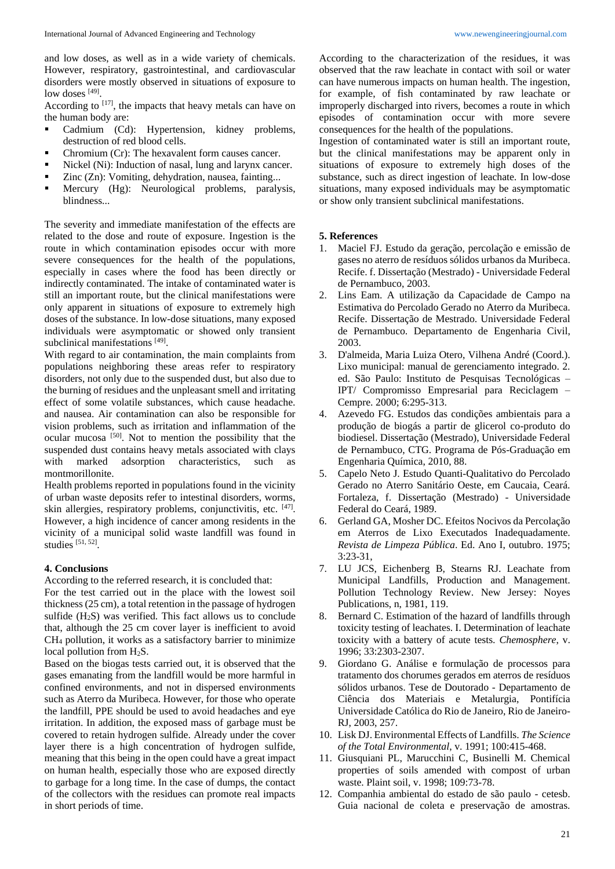and low doses, as well as in a wide variety of chemicals. However, respiratory, gastrointestinal, and cardiovascular disorders were mostly observed in situations of exposure to low doses [49].

According to  $[17]$ , the impacts that heavy metals can have on the human body are:

- **Cadmium** (Cd): Hypertension, kidney problems, destruction of red blood cells.
- Chromium (Cr): The hexavalent form causes cancer.
- Nickel (Ni): Induction of nasal, lung and larynx cancer.
- Zinc (Zn): Vomiting, dehydration, nausea, fainting...
- **Mercury** (Hg): Neurological problems, paralysis, blindness...

The severity and immediate manifestation of the effects are related to the dose and route of exposure. Ingestion is the route in which contamination episodes occur with more severe consequences for the health of the populations, especially in cases where the food has been directly or indirectly contaminated. The intake of contaminated water is still an important route, but the clinical manifestations were only apparent in situations of exposure to extremely high doses of the substance. In low-dose situations, many exposed individuals were asymptomatic or showed only transient subclinical manifestations [49].

With regard to air contamination, the main complaints from populations neighboring these areas refer to respiratory disorders, not only due to the suspended dust, but also due to the burning of residues and the unpleasant smell and irritating effect of some volatile substances, which cause headache. and nausea. Air contamination can also be responsible for vision problems, such as irritation and inflammation of the ocular mucosa<sup>[50]</sup>. Not to mention the possibility that the suspended dust contains heavy metals associated with clays with marked adsorption characteristics, such as montmorillonite.

Health problems reported in populations found in the vicinity of urban waste deposits refer to intestinal disorders, worms, skin allergies, respiratory problems, conjunctivitis, etc. [47]. However, a high incidence of cancer among residents in the vicinity of a municipal solid waste landfill was found in studies  $[51, 52]$ .

# **4. Conclusions**

According to the referred research, it is concluded that:

For the test carried out in the place with the lowest soil thickness (25 cm), a total retention in the passage of hydrogen sulfide  $(H_2S)$  was verified. This fact allows us to conclude that, although the 25 cm cover layer is inefficient to avoid CH<sup>4</sup> pollution, it works as a satisfactory barrier to minimize local pollution from  $H_2S$ .

Based on the biogas tests carried out, it is observed that the gases emanating from the landfill would be more harmful in confined environments, and not in dispersed environments such as Aterro da Muribeca. However, for those who operate the landfill, PPE should be used to avoid headaches and eye irritation. In addition, the exposed mass of garbage must be covered to retain hydrogen sulfide. Already under the cover layer there is a high concentration of hydrogen sulfide, meaning that this being in the open could have a great impact on human health, especially those who are exposed directly to garbage for a long time. In the case of dumps, the contact of the collectors with the residues can promote real impacts in short periods of time.

According to the characterization of the residues, it was observed that the raw leachate in contact with soil or water can have numerous impacts on human health. The ingestion, for example, of fish contaminated by raw leachate or improperly discharged into rivers, becomes a route in which episodes of contamination occur with more severe consequences for the health of the populations.

Ingestion of contaminated water is still an important route, but the clinical manifestations may be apparent only in situations of exposure to extremely high doses of the substance, such as direct ingestion of leachate. In low-dose situations, many exposed individuals may be asymptomatic or show only transient subclinical manifestations.

## **5. References**

- 1. Maciel FJ. Estudo da geração, percolação e emissão de gases no aterro de resíduos sólidos urbanos da Muribeca. Recife. f. Dissertação (Mestrado) - Universidade Federal de Pernambuco, 2003.
- 2. Lins Eam. A utilização da Capacidade de Campo na Estimativa do Percolado Gerado no Aterro da Muribeca. Recife. Dissertação de Mestrado. Universidade Federal de Pernambuco. Departamento de Engenharia Civil, 2003.
- 3. D'almeida, Maria Luiza Otero, Vilhena André (Coord.). Lixo municipal: manual de gerenciamento integrado. 2. ed. São Paulo: Instituto de Pesquisas Tecnológicas – IPT/ Compromisso Empresarial para Reciclagem – Cempre. 2000; 6:295-313.
- 4. Azevedo FG. Estudos das condições ambientais para a produção de biogás a partir de glicerol co-produto do biodiesel. Dissertação (Mestrado), Universidade Federal de Pernambuco, CTG. Programa de Pós-Graduação em Engenharia Química, 2010, 88.
- 5. Capelo Neto J. Estudo Quanti-Qualitativo do Percolado Gerado no Aterro Sanitário Oeste, em Caucaia, Ceará. Fortaleza, f. Dissertação (Mestrado) - Universidade Federal do Ceará, 1989.
- 6. Gerland GA, Mosher DC. Efeitos Nocivos da Percolação em Aterros de Lixo Executados Inadequadamente. *Revista de Limpeza Pública*. Ed. Ano I, outubro. 1975; 3:23-31,
- 7. LU JCS, Eichenberg B, Stearns RJ. Leachate from Municipal Landfills, Production and Management. Pollution Technology Review. New Jersey: Noyes Publications, n, 1981, 119.
- 8. Bernard C. Estimation of the hazard of landfills through toxicity testing of leachates. I. Determination of leachate toxicity with a battery of acute tests. *Chemosphere*, v. 1996; 33:2303-2307.
- 9. Giordano G. Análise e formulação de processos para tratamento dos chorumes gerados em aterros de resíduos sólidos urbanos. Tese de Doutorado - Departamento de Ciência dos Materiais e Metalurgia, Pontifícia Universidade Católica do Rio de Janeiro, Rio de Janeiro-RJ, 2003, 257.
- 10. Lisk DJ. Environmental Effects of Landfills. *The Science of the Total Environmental*, v. 1991; 100:415-468.
- 11. Giusquiani PL, Marucchini C, Businelli M. Chemical properties of soils amended with compost of urban waste. Plaint soil, v. 1998; 109:73-78.
- 12. Companhia ambiental do estado de são paulo cetesb. Guia nacional de coleta e preservação de amostras.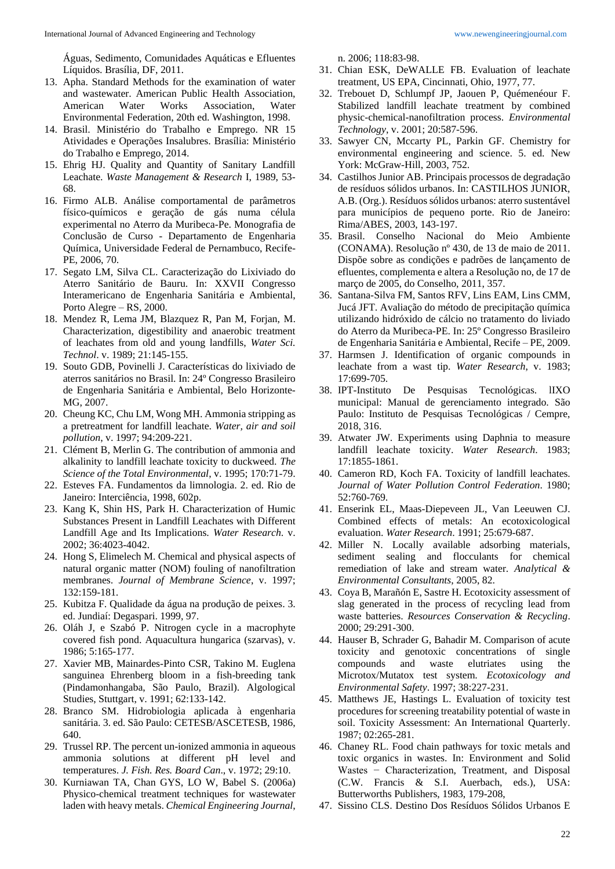Águas, Sedimento, Comunidades Aquáticas e Efluentes Líquidos. Brasília, DF, 2011.

- 13. Apha. Standard Methods for the examination of water and wastewater. American Public Health Association, American Water Works Association, Water Environmental Federation, 20th ed. Washington, 1998.
- 14. Brasil. Ministério do Trabalho e Emprego. NR 15 Atividades e Operações Insalubres. Brasília: Ministério do Trabalho e Emprego, 2014.
- 15. Ehrig HJ. Quality and Quantity of Sanitary Landfill Leachate. *Waste Management & Research* I, 1989, 53- 68.
- 16. Firmo ALB. Análise comportamental de parâmetros físico-químicos e geração de gás numa célula experimental no Aterro da Muribeca-Pe. Monografia de Conclusão de Curso - Departamento de Engenharia Química, Universidade Federal de Pernambuco, Recife-PE, 2006, 70.
- 17. Segato LM, Silva CL. Caracterização do Lixiviado do Aterro Sanitário de Bauru. In: XXVII Congresso Interamericano de Engenharia Sanitária e Ambiental, Porto Alegre – RS, 2000.
- 18. Mendez R, Lema JM, Blazquez R, Pan M, Forjan, M. Characterization, digestibility and anaerobic treatment of leachates from old and young landfills, *Water Sci. Technol*. v. 1989; 21:145-155.
- 19. Souto GDB, Povinelli J. Características do lixiviado de aterros sanitários no Brasil. In: 24º Congresso Brasileiro de Engenharia Sanitária e Ambiental, Belo Horizonte-MG, 2007.
- 20. Cheung KC, Chu LM, Wong MH. Ammonia stripping as a pretreatment for landfill leachate. *Water, air and soil pollution*, v. 1997; 94:209-221.
- 21. Clément B, Merlin G. The contribution of ammonia and alkalinity to landfill leachate toxicity to duckweed. *The Science of the Total Environmental*, v. 1995; 170:71-79.
- 22. Esteves FA. Fundamentos da limnologia. 2. ed. Rio de Janeiro: Interciência, 1998, 602p.
- 23. Kang K, Shin HS, Park H. Characterization of Humic Substances Present in Landfill Leachates with Different Landfill Age and Its Implications. *Water Research*. v. 2002; 36:4023-4042.
- 24. Hong S, Elimelech M. Chemical and physical aspects of natural organic matter (NOM) fouling of nanofiltration membranes. *Journal of Membrane Science*, v. 1997; 132:159-181.
- 25. Kubitza F. Qualidade da água na produção de peixes. 3. ed. Jundiaí: Degaspari. 1999, 97.
- 26. Oláh J, e Szabó P. Nitrogen cycle in a macrophyte covered fish pond. Aquacultura hungarica (szarvas), v. 1986; 5:165-177.
- 27. Xavier MB, Mainardes-Pinto CSR, Takino M. Euglena sanguinea Ehrenberg bloom in a fish-breeding tank (Pindamonhangaba, São Paulo, Brazil). Algological Studies, Stuttgart, v. 1991; 62:133-142.
- 28. Branco SM. Hidrobiologia aplicada à engenharia sanitária. 3. ed. São Paulo: CETESB/ASCETESB, 1986, 640.
- 29. Trussel RP. The percent un-ionized ammonia in aqueous ammonia solutions at different pH level and temperatures. *J. Fish. Res. Board Can*., v. 1972; 29:10.
- 30. Kurniawan TA, Chan GYS, LO W, Babel S. (2006a) Physico-chemical treatment techniques for wastewater laden with heavy metals. *Chemical Engineering Journal*,

n. 2006; 118:83-98.

- 31. Chian ESK, DeWALLE FB. Evaluation of leachate treatment, US EPA, Cincinnati, Ohio, 1977, 77.
- 32. Trebouet D, Schlumpf JP, Jaouen P, Quémenéour F. Stabilized landfill leachate treatment by combined physic-chemical-nanofiltration process. *Environmental Technology*, v. 2001; 20:587-596.
- 33. Sawyer CN, Mccarty PL, Parkin GF. Chemistry for environmental engineering and science. 5. ed. New York: McGraw-Hill, 2003, 752.
- 34. Castilhos Junior AB. Principais processos de degradação de resíduos sólidos urbanos. In: CASTILHOS JUNIOR, A.B. (Org.). Resíduos sólidos urbanos: aterro sustentável para municípios de pequeno porte. Rio de Janeiro: Rima/ABES, 2003, 143-197.
- 35. Brasil. Conselho Nacional do Meio Ambiente (CONAMA). Resolução nº 430, de 13 de maio de 2011. Dispõe sobre as condições e padrões de lançamento de efluentes, complementa e altera a Resolução no, de 17 de março de 2005, do Conselho, 2011, 357.
- 36. Santana-Silva FM, Santos RFV, Lins EAM, Lins CMM, Jucá JFT. Avaliação do método de precipitação química utilizando hidróxido de cálcio no tratamento do liviado do Aterro da Muribeca-PE. In: 25º Congresso Brasileiro de Engenharia Sanitária e Ambiental, Recife – PE, 2009.
- 37. Harmsen J. Identification of organic compounds in leachate from a wast tip. *Water Research*, v. 1983; 17:699-705.
- 38. IPT-Instituto De Pesquisas Tecnológicas. lIXO municipal: Manual de gerenciamento integrado. São Paulo: Instituto de Pesquisas Tecnológicas / Cempre, 2018, 316.
- 39. Atwater JW. Experiments using Daphnia to measure landfill leachate toxicity. *Water Research*. 1983; 17:1855-1861.
- 40. Cameron RD, Koch FA. Toxicity of landfill leachates. *Journal of Water Pollution Control Federation*. 1980; 52:760-769.
- 41. Enserink EL, Maas-Diepeveen JL, Van Leeuwen CJ. Combined effects of metals: An ecotoxicological evaluation. *Water Research*. 1991; 25:679-687.
- 42. Miller N. Locally available adsorbing materials, sediment sealing and flocculants for chemical remediation of lake and stream water. *Analytical & Environmental Consultants*, 2005, 82.
- 43. Coya B, Marañón E, Sastre H. Ecotoxicity assessment of slag generated in the process of recycling lead from waste batteries. *Resources Conservation & Recycling*. 2000; 29:291-300.
- 44. Hauser B, Schrader G, Bahadir M. Comparison of acute toxicity and genotoxic concentrations of single compounds and waste elutriates using the Microtox/Mutatox test system. *Ecotoxicology and Environmental Safety*. 1997; 38:227-231.
- 45. Matthews JE, Hastings L. Evaluation of toxicity test procedures for screening treatability potential of waste in soil. Toxicity Assessment: An International Quarterly. 1987; 02:265-281.
- 46. Chaney RL. Food chain pathways for toxic metals and toxic organics in wastes. In: Environment and Solid Wastes - Characterization, Treatment, and Disposal (C.W. Francis & S.I. Auerbach, eds.), USA: Butterworths Publishers, 1983, 179-208,
- 47. Sissino CLS. Destino Dos Resíduos Sólidos Urbanos E